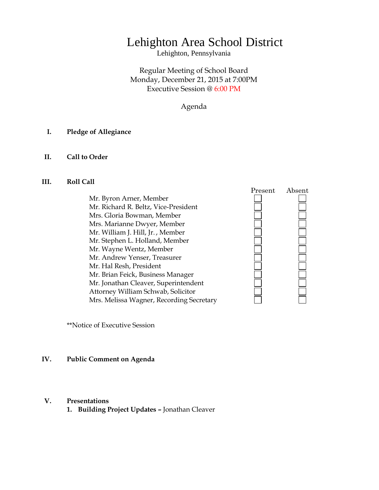# Lehighton Area School District

Lehighton, Pennsylvania

Regular Meeting of School Board Monday, December 21, 2015 at 7:00PM Executive Session @ 6:00 PM

Agenda

## **I. Pledge of Allegiance**

# **II. Call to Order**

#### **III. Roll Call**

Mr. Byron Arner, Member Mr. Richard R. Beltz, Vice-President Mrs. Gloria Bowman, Member Mrs. Marianne Dwyer, Member Mr. William J. Hill, Jr. , Member Mr. Stephen L. Holland, Member Mr. Wayne Wentz, Member Mr. Andrew Yenser, Treasurer Mr. Hal Resh, President Mr. Brian Feick, Business Manager Mr. Jonathan Cleaver, Superintendent Attorney William Schwab, Solicitor Mrs. Melissa Wagner, Recording Secretary



\*\*Notice of Executive Session

### **IV. Public Comment on Agenda**

#### **V. Presentations**

**1. Building Project Updates –** Jonathan Cleaver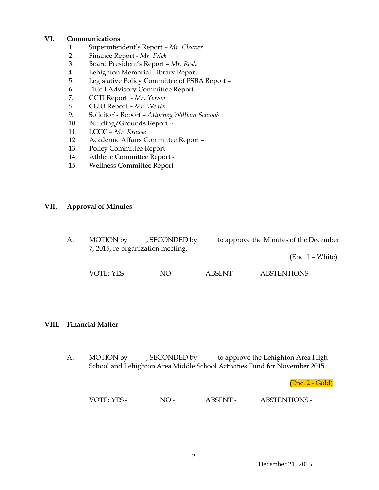# **VI. Communications**

- 1. Superintendent's Report *Mr. Cleaver*
- 2. Finance Report *- Mr. Feick*
- 3. Board President's Report *Mr. Resh*
- 4. Lehighton Memorial Library Report –
- 5. Legislative Policy Committee of PSBA Report –
- 6. Title I Advisory Committee Report –
- 7. CCTI Report *Mr. Yenser*
- 8. CLIU Report *Mr. Wentz*
- 9. Solicitor's Report *Attorney William Schwab*
- 10. Building/Grounds Report -
- 11. LCCC *– Mr. Krause*
- 12. Academic Affairs Committee Report –
- 13. Policy Committee Report -
- 14. Athletic Committee Report -
- 15. Wellness Committee Report –

# **VII. Approval of Minutes**

A. MOTION by , SECONDED by to approve the Minutes of the December 7, 2015, re-organization meeting. (Enc. 1 – White)

VOTE: YES - NO - NO - ABSENT - ABSTENTIONS - NO

# **VIII. Financial Matter**

A. MOTION by , SECONDED by to approve the Lehighton Area High School and Lehighton Area Middle School Activities Fund for November 2015.

(Enc. 2 - Gold)

VOTE: YES - NO - NO - ABSENT - ABSTENTIONS -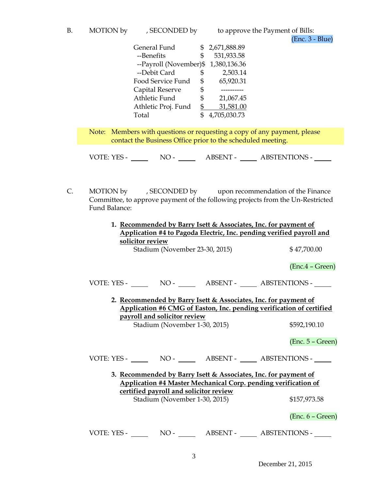|  |  | MOTION by | , SECONDED by |
|--|--|-----------|---------------|
|--|--|-----------|---------------|

to approve the Payment of Bills: (Enc. 3 - Blue)

| General Fund           |    | 2,671,888.89 |
|------------------------|----|--------------|
| --Benefits             | S  | 531,933.58   |
| --Payroll (November)\$ |    | 1,380,136.36 |
| --Debit Card           | \$ | 2,503.14     |
| Food Service Fund      | \$ | 65,920.31    |
| Capital Reserve        | \$ |              |
| Athletic Fund          | S  | 21,067.45    |
| Athletic Proj. Fund    | \$ | 31,581.00    |
| Total                  |    | 4,705,030.73 |

Note: Members with questions or requesting a copy of any payment, please contact the Business Office prior to the scheduled meeting.

VOTE: YES - NO - NO - ABSENT - ABSTENTIONS -

C. MOTION by , SECONDED by upon recommendation of the Finance Committee, to approve payment of the following projects from the Un-Restricted Fund Balance:

| 1. Recommended by Barry Isett & Associates, Inc. for payment of<br>Application #4 to Pagoda Electric, Inc. pending verified payroll and |                    |  |  |  |  |  |  |
|-----------------------------------------------------------------------------------------------------------------------------------------|--------------------|--|--|--|--|--|--|
| solicitor review                                                                                                                        |                    |  |  |  |  |  |  |
| Stadium (November 23-30, 2015)                                                                                                          | \$47,700.00        |  |  |  |  |  |  |
|                                                                                                                                         | $(Enc.4 - Green)$  |  |  |  |  |  |  |
|                                                                                                                                         |                    |  |  |  |  |  |  |
| 2. Recommended by Barry Isett & Associates, Inc. for payment of<br>Application #6 CMG of Easton, Inc. pending verification of certified |                    |  |  |  |  |  |  |
| payroll and solicitor review                                                                                                            |                    |  |  |  |  |  |  |
| Stadium (November 1-30, 2015)                                                                                                           | \$592,190.10       |  |  |  |  |  |  |
|                                                                                                                                         | $(Enc. 5 - Green)$ |  |  |  |  |  |  |
| VOTE: YES - NO - NO - ABSENT - ABSTENTIONS -                                                                                            |                    |  |  |  |  |  |  |
| 3. Recommended by Barry Isett & Associates, Inc. for payment of                                                                         |                    |  |  |  |  |  |  |
| <b>Application #4 Master Mechanical Corp. pending verification of</b>                                                                   |                    |  |  |  |  |  |  |
| certified payroll and solicitor review                                                                                                  |                    |  |  |  |  |  |  |
|                                                                                                                                         |                    |  |  |  |  |  |  |
| Stadium (November 1-30, 2015)                                                                                                           | \$157,973.58       |  |  |  |  |  |  |
|                                                                                                                                         | $(Enc. 6 - Green)$ |  |  |  |  |  |  |
| VOTE: YES - NO - ABSENT - ABSTENTIONS -                                                                                                 |                    |  |  |  |  |  |  |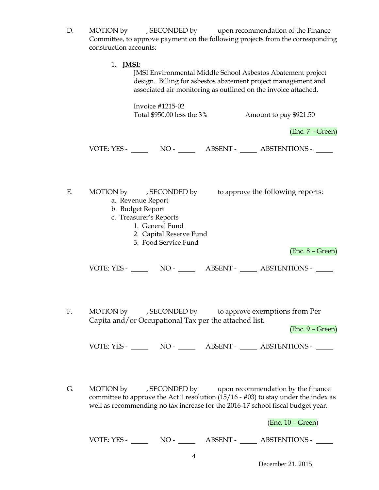- D. MOTION by , SECONDED by upon recommendation of the Finance Committee, to approve payment on the following projects from the corresponding construction accounts:
	- 1. **JMSI:**

JMSI Environmental Middle School Asbestos Abatement project design. Billing for asbestos abatement project management and associated air monitoring as outlined on the invoice attached.

Invoice #1215-02 Total \$950.00 less the 3% Amount to pay \$921.50

(Enc. 7 – Green)

VOTE: YES - NO - NO - ABSENT - ABSTENTIONS - NO

E. MOTION by , SECONDED by to approve the following reports:

- a. Revenue Report
	- b. Budget Report
	- c. Treasurer's Reports
		- 1. General Fund
		- 2. Capital Reserve Fund
		- 3. Food Service Fund

(Enc. 8 – Green)

VOTE: YES - NO - ABSENT - ABSTENTIONS -

F. MOTION by , SECONDED by to approve exemptions from Per Capita and/or Occupational Tax per the attached list.

(Enc. 9 – Green)

VOTE: YES - NO - NO - ABSENT - ABSTENTIONS -

G. MOTION by , SECONDED by upon recommendation by the finance committee to approve the Act 1 resolution (15/16 - #03) to stay under the index as well as recommending no tax increase for the 2016-17 school fiscal budget year.

(Enc. 10 – Green)

VOTE: YES - NO - NO - ABSENT - ABSTENTIONS -

December 21, 2015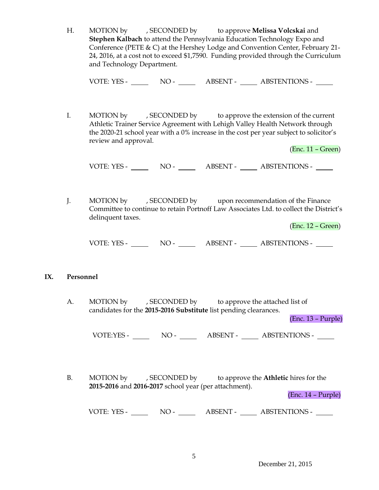H. MOTION by , SECONDED by to approve **Melissa Volcskai** and **Stephen Kalbach** to attend the Pennsylvania Education Technology Expo and Conference (PETE & C) at the Hershey Lodge and Convention Center, February 21- 24, 2016, at a cost not to exceed \$1,7590. Funding provided through the Curriculum and Technology Department.

VOTE: YES - NO - NO - ABSENT - ABSTENTIONS -

I. MOTION by , SECONDED by to approve the extension of the current Athletic Trainer Service Agreement with Lehigh Valley Health Network through the 2020-21 school year with a 0% increase in the cost per year subject to solicitor's review and approval.

(Enc. 11 – Green)

VOTE: YES - NO - NO - ABSENT - ABSTENTIONS -

J. MOTION by , SECONDED by upon recommendation of the Finance Committee to continue to retain Portnoff Law Associates Ltd. to collect the District's delinquent taxes.

(Enc. 12 – Green)

VOTE: YES - NO - NO - ABSENT - ABSTENTIONS -

#### **IX. Personnel**

A. MOTION by , SECONDED by to approve the attached list of candidates for the **2015-2016 Substitute** list pending clearances.

(Enc. 13 – Purple)

VOTE:YES - NO - ABSENT - ABSTENTIONS -

B. MOTION by , SECONDED by to approve the **Athletic** hires for the **2015-2016** and **2016-2017** school year (per attachment).

(Enc. 14 – Purple)

VOTE: YES - NO - ABSENT - ABSTENTIONS -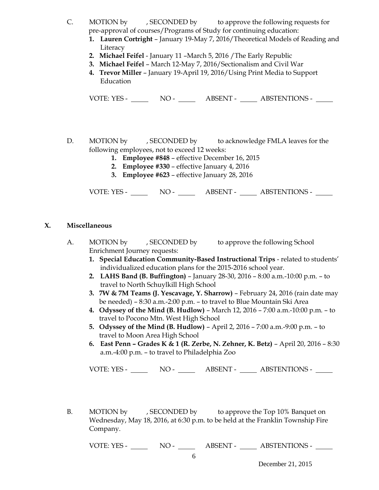- C. MOTION by , SECONDED by to approve the following requests for pre-approval of courses/Programs of Study for continuing education:
	- **1. Lauren Cortright** January 19-May 7, 2016/Theoretical Models of Reading and Literacy
	- **2. Michael Feifel**  January 11 –March 5, 2016 /The Early Republic
	- **3. Michael Feifel** March 12-May 7, 2016/Sectionalism and Civil War
	- **4. Trevor Miller**  January 19-April 19, 2016/Using Print Media to Support Education

VOTE: YES - NO - NO - ABSENT - ABSTENTIONS -

- D. MOTION by , SECONDED by to acknowledge FMLA leaves for the following employees, not to exceed 12 weeks:
	- **1. Employee #848** effective December 16, 2015
	- **2. Employee #330**  effective January 4, 2016
	- **3. Employee #623**  effective January 28, 2016

VOTE: YES - NO - ABSENT - ABSTENTIONS -

## **X. Miscellaneous**

- A. MOTION by , SECONDED by to approve the following School Enrichment Journey requests:
	- **1. Special Education Community-Based Instructional Trips** related to students' individualized education plans for the 2015-2016 school year.
	- **2. LAHS Band (B. Buffington)** January 28-30, 2016 8:00 a.m.-10:00 p.m. to travel to North Schuylkill High School
	- **3. 7W & 7M Teams (J. Yescavage, Y. Sharrow)** February 24, 2016 (rain date may be needed) – 8:30 a.m.-2:00 p.m. – to travel to Blue Mountain Ski Area
	- **4. Odyssey of the Mind (B. Hudlow)** March 12, 2016 7:00 a.m.-10:00 p.m. to travel to Pocono Mtn. West High School
	- **5. Odyssey of the Mind (B. Hudlow)**  April 2, 2016 7:00 a.m.-9:00 p.m. to travel to Moon Area High School
	- **6. East Penn – Grades K & 1 (R. Zerbe, N. Zehner, K. Betz)** April 20, 2016 8:30 a.m.-4:00 p.m. – to travel to Philadelphia Zoo

VOTE: YES - NO - NO - ABSENT - ABSTENTIONS -

B. MOTION by , SECONDED by to approve the Top 10% Banquet on Wednesday, May 18, 2016, at 6:30 p.m. to be held at the Franklin Township Fire Company.

VOTE: YES - NO - NO - ABSENT - ABSTENTIONS -

December 21, 2015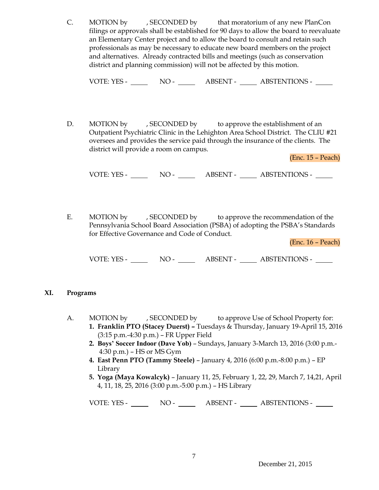C. MOTION by , SECONDED by that moratorium of any new PlanCon filings or approvals shall be established for 90 days to allow the board to reevaluate an Elementary Center project and to allow the board to consult and retain such professionals as may be necessary to educate new board members on the project and alternatives. Already contracted bills and meetings (such as conservation district and planning commission) will not be affected by this motion.

VOTE: YES - NO - NO - ABSENT - ABSTENTIONS -

D. MOTION by , SECONDED by to approve the establishment of an Outpatient Psychiatric Clinic in the Lehighton Area School District. The CLIU #21 oversees and provides the service paid through the insurance of the clients. The district will provide a room on campus.

(Enc. 15 – Peach)

VOTE: YES - NO - ABSENT - ABSTENTIONS -

E. MOTION by , SECONDED by to approve the recommendation of the Pennsylvania School Board Association (PSBA) of adopting the PSBA's Standards for Effective Governance and Code of Conduct.

(Enc. 16 – Peach)

VOTE: YES - NO - ABSENT - ABSTENTIONS -

#### **XI. Programs**

- A. MOTION by , SECONDED by to approve Use of School Property for:
	- **1. Franklin PTO (Stacey Duerst) –** Tuesdays & Thursday, January 19-April 15, 2016 (3:15 p.m.-4:30 p.m.) – FR Upper Field
	- **2. Boys' Soccer Indoor (Dave Yob)** Sundays, January 3-March 13, 2016 (3:00 p.m.- 4:30 p.m.) – HS or MS Gym
	- **4. East Penn PTO (Tammy Steele)** January 4, 2016 (6:00 p.m.-8:00 p.m.) EP Library
	- **5. Yoga (Maya Kowalcyk)** January 11, 25, February 1, 22, 29, March 7, 14,21, April 4, 11, 18, 25, 2016 (3:00 p.m.-5:00 p.m.) – HS Library

VOTE: YES - NO - ABSENT - ABSTENTIONS -